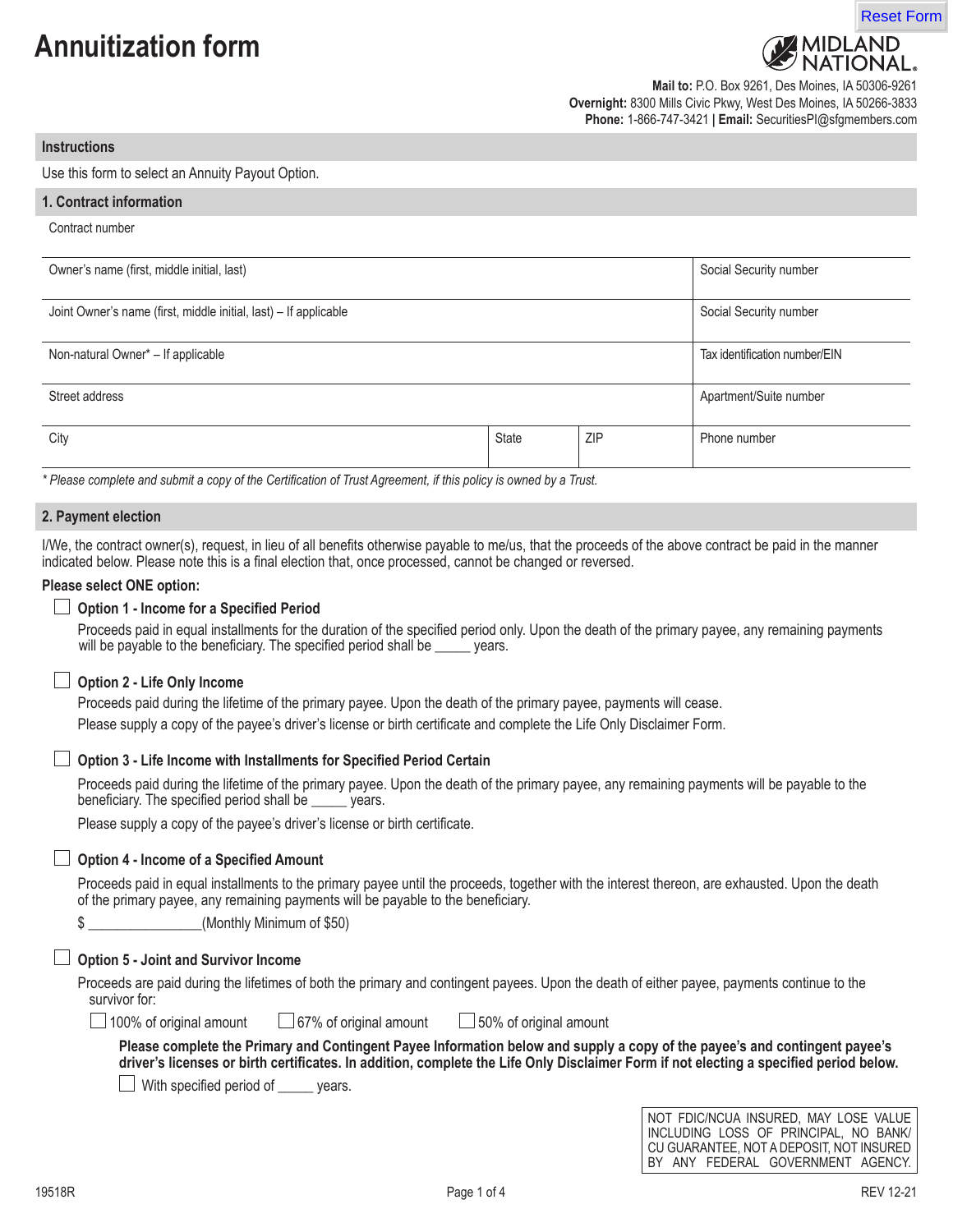# **Annuitization form**



**Mail to:** P.O. Box 9261, Des Moines, IA 50306-9261 **Overnight:** 8300 Mills Civic Pkwy, West Des Moines, IA 50266-3833 **Phone:** 1-866-747-3421 **| Email:** SecuritiesPI@sfgmembers.com

#### **Instructions**

Use this form to select an Annuity Payout Option.

| 1. Contract information                                          |       |            |                               |
|------------------------------------------------------------------|-------|------------|-------------------------------|
| Contract number                                                  |       |            |                               |
| Owner's name (first, middle initial, last)                       |       |            | Social Security number        |
| Joint Owner's name (first, middle initial, last) - If applicable |       |            | Social Security number        |
| Non-natural Owner* - If applicable                               |       |            | Tax identification number/EIN |
| Street address                                                   |       |            | Apartment/Suite number        |
| City                                                             | State | <b>ZIP</b> | Phone number                  |

*\* Please complete and submit a copy of the Certification of Trust Agreement, if this policy is owned by a Trust.*

## **2. Payment election**

I/We, the contract owner(s), request, in lieu of all benefits otherwise payable to me/us, that the proceeds of the above contract be paid in the manner indicated below. Please note this is a final election that, once processed, cannot be changed or reversed.

#### **Please select ONE option:**

## **Option 1 - Income for a Specified Period**

Proceeds paid in equal installments for the duration of the specified period only. Upon the death of the primary payee, any remaining payments will be payable to the beneficiary. The specified period shall be \_\_\_\_\_ years.

#### **Option 2 - Life Only Income**

Proceeds paid during the lifetime of the primary payee. Upon the death of the primary payee, payments will cease. Please supply a copy of the payee's driver's license or birth certificate and complete the Life Only Disclaimer Form.

# **Option 3 - Life Income with Installments for Specified Period Certain**

Proceeds paid during the lifetime of the primary payee. Upon the death of the primary payee, any remaining payments will be payable to the beneficiary. The specified period shall be \_\_\_\_\_ years.

Please supply a copy of the payee's driver's license or birth certificate.

#### **Option 4 - Income of a Specified Amount**

Proceeds paid in equal installments to the primary payee until the proceeds, together with the interest thereon, are exhausted. Upon the death of the primary payee, any remaining payments will be payable to the beneficiary.

\$ \_\_\_\_\_\_\_\_\_\_\_\_\_\_\_\_(Monthly Minimum of \$50)

# **Option 5 - Joint and Survivor Income**

Proceeds are paid during the lifetimes of both the primary and contingent payees. Upon the death of either payee, payments continue to the survivor for:

|  | 100% of original a |  |
|--|--------------------|--|
|  |                    |  |

mount  $1000$   $100$   $100$  of original amount  $100$   $100$   $100$  of original amount

Please complete the Primary and Contingent Payee Information below and supply a copy of the payee's and contingent payee's driver's licenses or birth certificates. In addition, complete the Life Only Disclaimer Form if not electing a specified period below.

 $\Box$  With specified period of  $\Box$  years.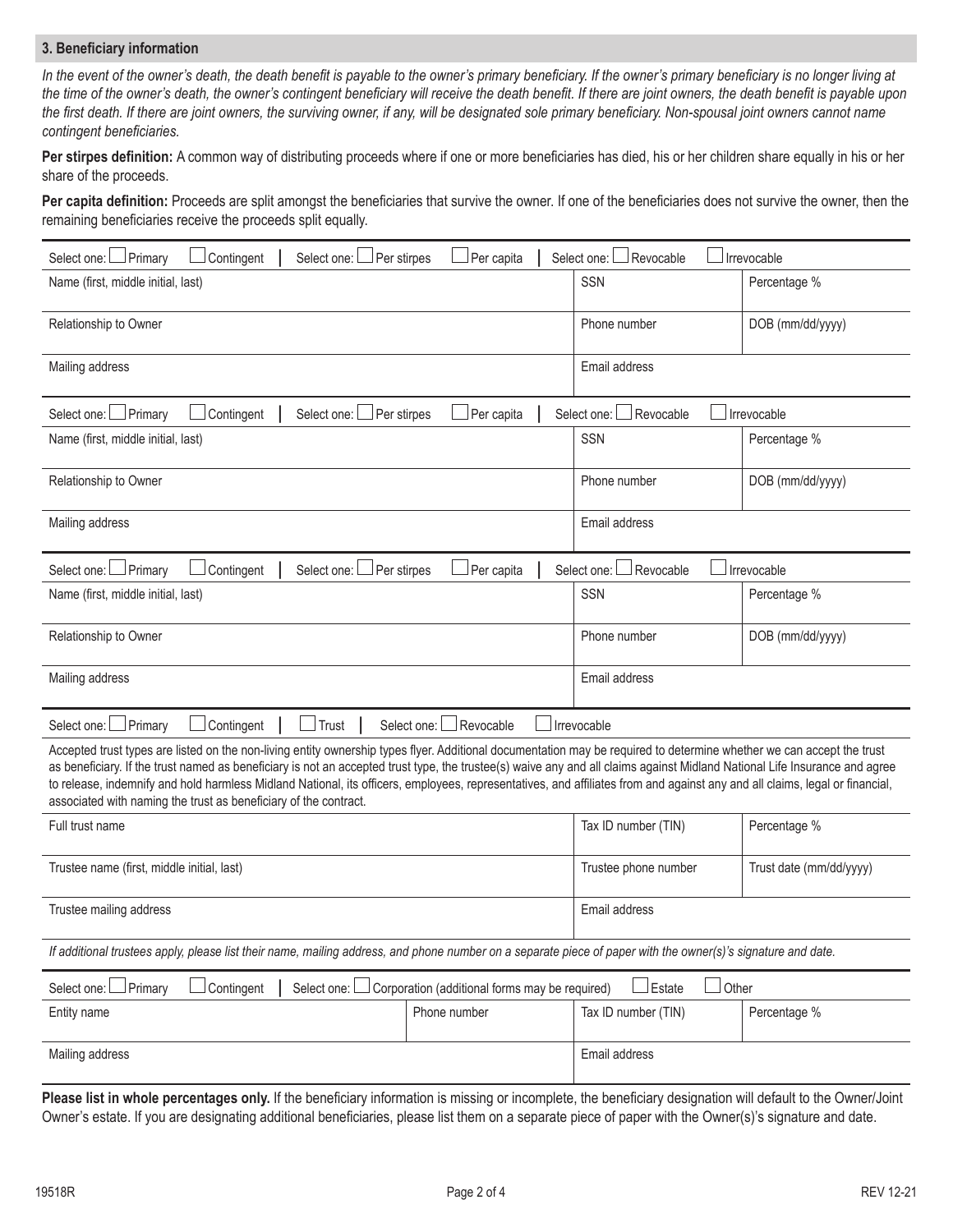## **3. Beneficiary information**

In the event of the owner's death, the death benefit is payable to the owner's primary beneficiary. If the owner's primary beneficiary is no longer living at *the time of the owner's death, the owner's contingent beneficiary will receive the death benefit. If there are joint owners, the death benefit is payable upon the first death. If there are joint owners, the surviving owner, if any, will be designated sole primary beneficiary. Non-spousal joint owners cannot name contingent beneficiaries.* 

**Per stirpes definition:** A common way of distributing proceeds where if one or more beneficiaries has died, his or her children share equally in his or her share of the proceeds.

Per capita definition: Proceeds are split amongst the beneficiaries that survive the owner. If one of the beneficiaries does not survive the owner, then the remaining beneficiaries receive the proceeds split equally.

| Select one: Primary<br>Contingent<br>Per stirpes<br>Select one: $\Box$                                                                                                                                                                                                                                                                                                                                                                                                                                                                                                                                 | Per capita                                     | Select one: L<br>Revocable | Irrevocable             |
|--------------------------------------------------------------------------------------------------------------------------------------------------------------------------------------------------------------------------------------------------------------------------------------------------------------------------------------------------------------------------------------------------------------------------------------------------------------------------------------------------------------------------------------------------------------------------------------------------------|------------------------------------------------|----------------------------|-------------------------|
| Name (first, middle initial, last)                                                                                                                                                                                                                                                                                                                                                                                                                                                                                                                                                                     |                                                | <b>SSN</b>                 | Percentage %            |
| Relationship to Owner                                                                                                                                                                                                                                                                                                                                                                                                                                                                                                                                                                                  |                                                | Phone number               | DOB (mm/dd/yyyy)        |
| Mailing address                                                                                                                                                                                                                                                                                                                                                                                                                                                                                                                                                                                        |                                                | Email address              |                         |
| Primary<br>Contingent<br>Per stirpes<br>Select one: L<br>Select one: I                                                                                                                                                                                                                                                                                                                                                                                                                                                                                                                                 | Per capita                                     | Revocable<br>Select one:   | Irrevocable             |
| Name (first, middle initial, last)                                                                                                                                                                                                                                                                                                                                                                                                                                                                                                                                                                     |                                                | SSN                        | Percentage %            |
| Relationship to Owner                                                                                                                                                                                                                                                                                                                                                                                                                                                                                                                                                                                  |                                                | Phone number               | DOB (mm/dd/yyyy)        |
| Mailing address                                                                                                                                                                                                                                                                                                                                                                                                                                                                                                                                                                                        |                                                | Email address              |                         |
| Select one: Per stirpes<br>Select one: I Primary<br>Contingent                                                                                                                                                                                                                                                                                                                                                                                                                                                                                                                                         | Per capita                                     | Select one:<br>Revocable   | Irrevocable             |
| Name (first, middle initial, last)                                                                                                                                                                                                                                                                                                                                                                                                                                                                                                                                                                     |                                                | SSN                        | Percentage %            |
| Relationship to Owner                                                                                                                                                                                                                                                                                                                                                                                                                                                                                                                                                                                  |                                                | Phone number               | DOB (mm/dd/yyyy)        |
| Mailing address                                                                                                                                                                                                                                                                                                                                                                                                                                                                                                                                                                                        |                                                | Email address              |                         |
| Contingent<br>Select one: DPrimary<br>$\lrcorner$ Trust                                                                                                                                                                                                                                                                                                                                                                                                                                                                                                                                                | Revocable<br>Select one:                       | Irrevocable                |                         |
| Accepted trust types are listed on the non-living entity ownership types flyer. Additional documentation may be required to determine whether we can accept the trust<br>as beneficiary. If the trust named as beneficiary is not an accepted trust type, the trustee(s) waive any and all claims against Midland National Life Insurance and agree<br>to release, indemnify and hold harmless Midland National, its officers, employees, representatives, and affiliates from and against any and all claims, legal or financial,<br>associated with naming the trust as beneficiary of the contract. |                                                |                            |                         |
| Full trust name                                                                                                                                                                                                                                                                                                                                                                                                                                                                                                                                                                                        |                                                | Tax ID number (TIN)        | Percentage %            |
| Trustee name (first, middle initial, last)                                                                                                                                                                                                                                                                                                                                                                                                                                                                                                                                                             |                                                | Trustee phone number       | Trust date (mm/dd/yyyy) |
| Trustee mailing address                                                                                                                                                                                                                                                                                                                                                                                                                                                                                                                                                                                | Email address                                  |                            |                         |
| If additional trustees apply, please list their name, mailing address, and phone number on a separate piece of paper with the owner(s)'s signature and date.                                                                                                                                                                                                                                                                                                                                                                                                                                           |                                                |                            |                         |
| Contingent<br>Select one:<br>Primary<br>Select one: L                                                                                                                                                                                                                                                                                                                                                                                                                                                                                                                                                  | Corporation (additional forms may be required) | Estate<br>Other            |                         |
| Entity name                                                                                                                                                                                                                                                                                                                                                                                                                                                                                                                                                                                            | Phone number                                   | Tax ID number (TIN)        | Percentage %            |
| Mailing address                                                                                                                                                                                                                                                                                                                                                                                                                                                                                                                                                                                        |                                                | Email address              |                         |

**Please list in whole percentages only.** If the beneficiary information is missing or incomplete, the beneficiary designation will default to the Owner/Joint Owner's estate. If you are designating additional beneficiaries, please list them on a separate piece of paper with the Owner(s)'s signature and date.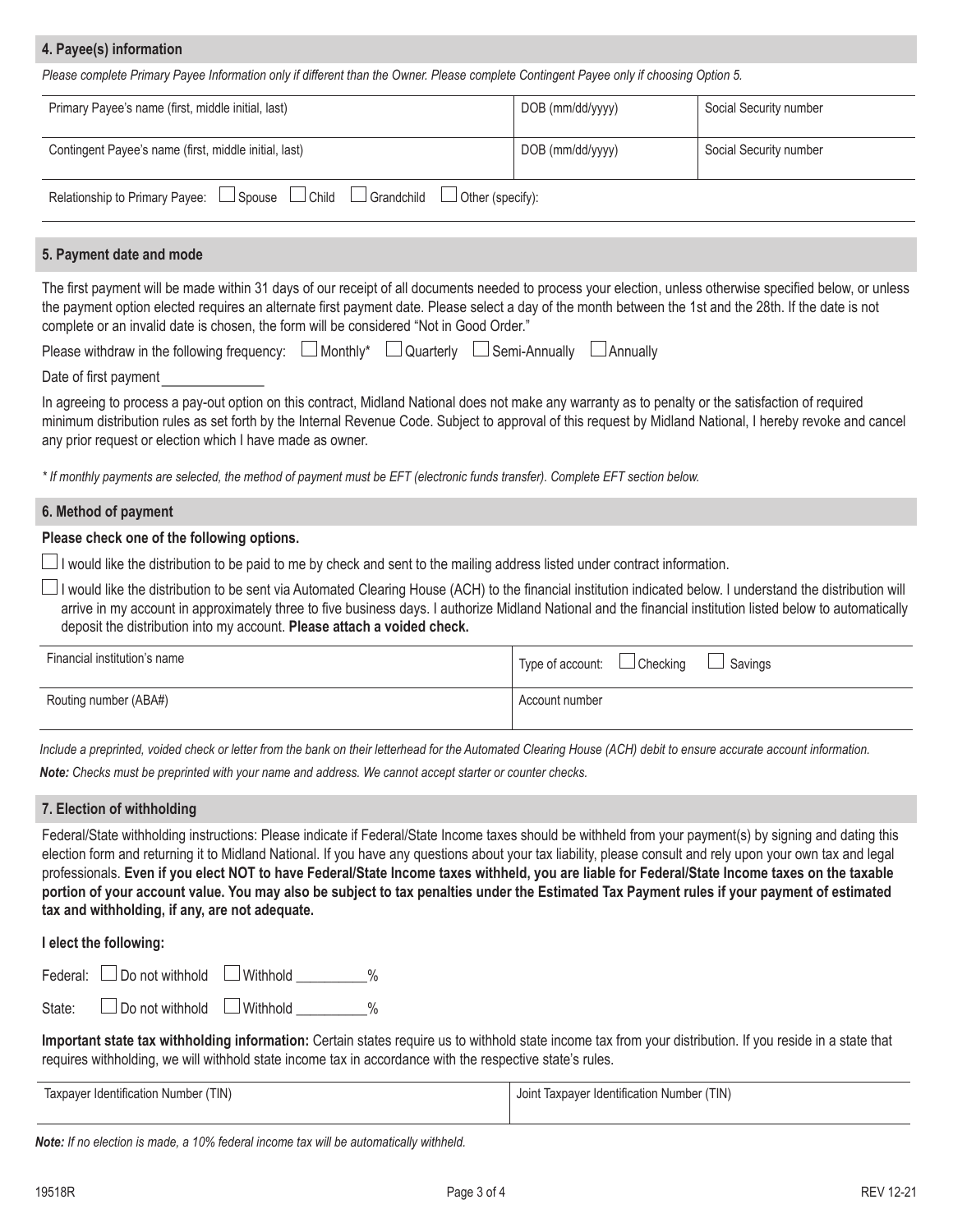# **4. Payee(s) information**

*Please complete Primary Payee Information only if different than the Owner. Please complete Contingent Payee only if choosing Option 5.*

| Primary Payee's name (first, middle initial, last)                                                  | DOB (mm/dd/yyyy) | Social Security number |
|-----------------------------------------------------------------------------------------------------|------------------|------------------------|
| Contingent Payee's name (first, middle initial, last)                                               | DOB (mm/dd/yyyy) | Social Security number |
| Relationship to Primary Payee:<br>l Child<br>$\Box$ Grandchild<br>$\Box$ Spouse<br>Other (specify): |                  |                        |

# **5. Payment date and mode**

The first payment will be made within 31 days of our receipt of all documents needed to process your election, unless otherwise specified below, or unless the payment option elected requires an alternate first payment date. Please select a day of the month between the 1st and the 28th. If the date is not complete or an invalid date is chosen, the form will be considered "Not in Good Order."

| Please withdraw in the following frequency: □ Monthly* □ Quarterly □ Semi-Annually □ Annually |  |  |  |  |
|-----------------------------------------------------------------------------------------------|--|--|--|--|
|-----------------------------------------------------------------------------------------------|--|--|--|--|

Date of first payment

In agreeing to process a pay-out option on this contract, Midland National does not make any warranty as to penalty or the satisfaction of required minimum distribution rules as set forth by the Internal Revenue Code. Subject to approval of this request by Midland National, I hereby revoke and cancel any prior request or election which I have made as owner.

*\* If monthly payments are selected, the method of payment must be EFT (electronic funds transfer). Complete EFT section below.*

#### **6. Method of payment**

## **Please check one of the following options.**

 $\Box$  I would like the distribution to be paid to me by check and sent to the mailing address listed under contract information.

□ I would like the distribution to be sent via Automated Clearing House (ACH) to the financial institution indicated below. I understand the distribution will arrive in my account in approximately three to five business days. I authorize Midland National and the financial institution listed below to automatically deposit the distribution into my account. **Please attach a voided check.**

| Financial institution's name | Type of account: $\Box$ Checking $\Box$<br>Savings |
|------------------------------|----------------------------------------------------|
| Routing number (ABA#)        | Account number                                     |

*Include a preprinted, voided check or letter from the bank on their letterhead for the Automated Clearing House (ACH) debit to ensure accurate account information.*

*Note:* Checks must be preprinted with your name and address. We cannot accept starter or counter checks.

#### **7. Election of withholding**

Federal/State withholding instructions: Please indicate if Federal/State Income taxes should be withheld from your payment(s) by signing and dating this election form and returning it to Midland National. If you have any questions about your tax liability, please consult and rely upon your own tax and legal professionals. Even if you elect NOT to have Federal/State Income taxes withheld, you are liable for Federal/State Income taxes on the taxable portion of your account value. You may also be subject to tax penalties under the Estimated Tax Payment rules if your payment of estimated **tax and withholding, if any, are not adequate.**

#### **I elect the following:**

| Federal: $\Box$ Do not withhold $\Box$ Withhold |  |
|-------------------------------------------------|--|
|                                                 |  |

State:  $\Box$  Do not withhold  $\Box$  Withhold  $\Box$  %

**Important state tax withholding information:** Certain states require us to withhold state income tax from your distribution. If you reside in a state that requires withholding, we will withhold state income tax in accordance with the respective state's rules.

| Taxpayer Identification Number (TIN) | Joint Taxpayer Identification Number (TIN) |
|--------------------------------------|--------------------------------------------|
|                                      |                                            |

*Note: If no election is made, a 10% federal income tax will be automatically withheld.*